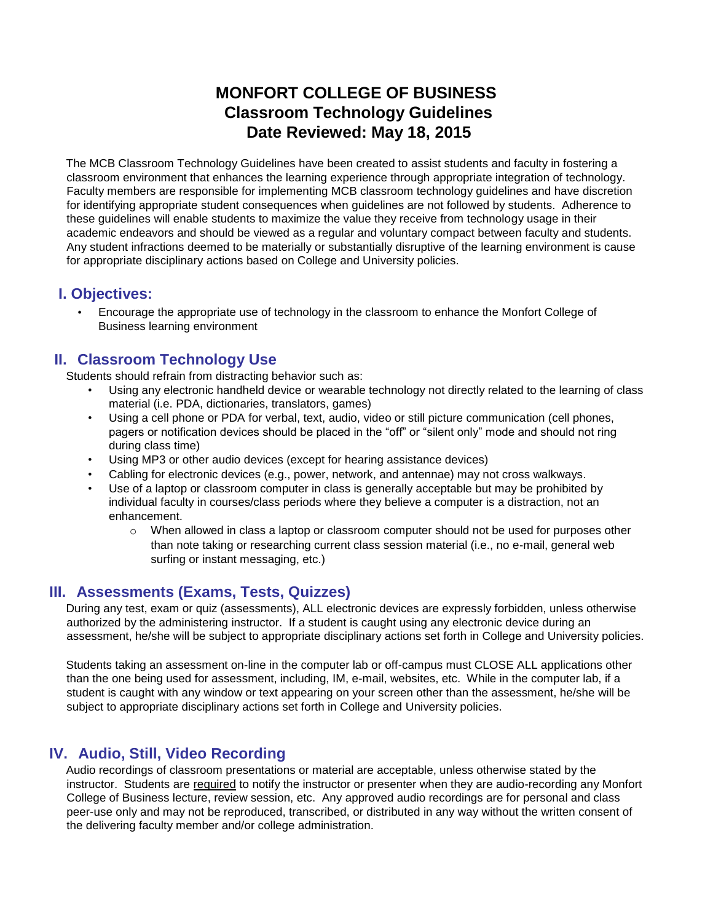# **MONFORT COLLEGE OF BUSINESS Classroom Technology Guidelines Date Reviewed: May 18, 2015**

The MCB Classroom Technology Guidelines have been created to assist students and faculty in fostering a classroom environment that enhances the learning experience through appropriate integration of technology. Faculty members are responsible for implementing MCB classroom technology guidelines and have discretion for identifying appropriate student consequences when guidelines are not followed by students. Adherence to these guidelines will enable students to maximize the value they receive from technology usage in their academic endeavors and should be viewed as a regular and voluntary compact between faculty and students. Any student infractions deemed to be materially or substantially disruptive of the learning environment is cause for appropriate disciplinary actions based on College and University policies.

### **I. Objectives:**

• Encourage the appropriate use of technology in the classroom to enhance the Monfort College of Business learning environment

# **II. Classroom Technology Use**

Students should refrain from distracting behavior such as:

- Using any electronic handheld device or wearable technology not directly related to the learning of class material (i.e. PDA, dictionaries, translators, games)
- Using a cell phone or PDA for verbal, text, audio, video or still picture communication (cell phones, pagers or notification devices should be placed in the "off" or "silent only" mode and should not ring during class time)
- Using MP3 or other audio devices (except for hearing assistance devices)
- Cabling for electronic devices (e.g., power, network, and antennae) may not cross walkways.
- Use of a laptop or classroom computer in class is generally acceptable but may be prohibited by individual faculty in courses/class periods where they believe a computer is a distraction, not an enhancement.
	- $\circ$  When allowed in class a laptop or classroom computer should not be used for purposes other than note taking or researching current class session material (i.e., no e-mail, general web surfing or instant messaging, etc.)

### **III. Assessments (Exams, Tests, Quizzes)**

During any test, exam or quiz (assessments), ALL electronic devices are expressly forbidden, unless otherwise authorized by the administering instructor. If a student is caught using any electronic device during an assessment, he/she will be subject to appropriate disciplinary actions set forth in College and University policies.

Students taking an assessment on-line in the computer lab or off-campus must CLOSE ALL applications other than the one being used for assessment, including, IM, e-mail, websites, etc. While in the computer lab, if a student is caught with any window or text appearing on your screen other than the assessment, he/she will be subject to appropriate disciplinary actions set forth in College and University policies.

# **IV. Audio, Still, Video Recording**

Audio recordings of classroom presentations or material are acceptable, unless otherwise stated by the instructor. Students are required to notify the instructor or presenter when they are audio-recording any Monfort College of Business lecture, review session, etc. Any approved audio recordings are for personal and class peer-use only and may not be reproduced, transcribed, or distributed in any way without the written consent of the delivering faculty member and/or college administration.